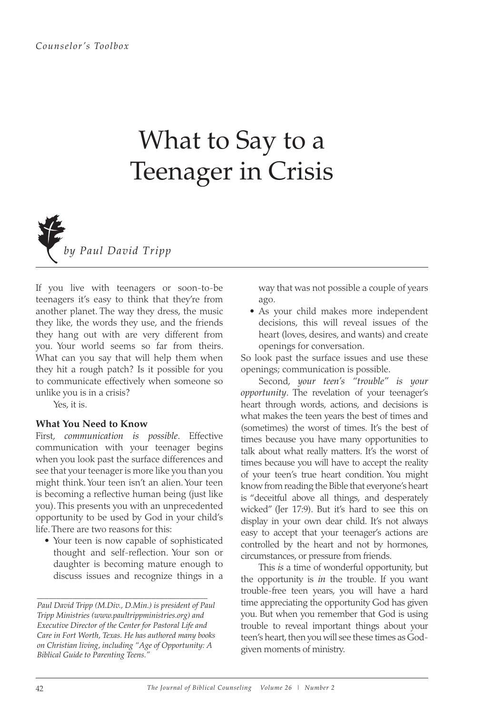## What to Say to a Teenager in Crisis



If you live with teenagers or soon-to-be teenagers it's easy to think that they're from another planet. The way they dress, the music they like, the words they use, and the friends they hang out with are very different from you. Your world seems so far from theirs. What can you say that will help them when they hit a rough patch? Is it possible for you to communicate effectively when someone so unlike you is in a crisis?

Yes, it is.

## **What You Need to Know**

First, *communication is possible*. Effective communication with your teenager begins when you look past the surface differences and see that your teenager is more like you than you might think. Your teen isn't an alien. Your teen is becoming a reflective human being (just like you). This presents you with an unprecedented opportunity to be used by God in your child's life. There are two reasons for this:

• Your teen is now capable of sophisticated thought and self-reflection. Your son or daughter is becoming mature enough to discuss issues and recognize things in a

\_\_\_\_\_\_\_\_\_\_\_\_\_\_\_\_\_\_\_\_\_\_\_\_\_\_\_\_\_\_\_\_\_\_\_\_\_\_\_\_\_\_\_

way that was not possible a couple of years ago.

• As your child makes more independent decisions, this will reveal issues of the heart (loves, desires, and wants) and create openings for conversation.

So look past the surface issues and use these openings; communication is possible.

Second, *your teen's "trouble" is your opportunity*. The revelation of your teenager's heart through words, actions, and decisions is what makes the teen years the best of times and (sometimes) the worst of times. It's the best of times because you have many opportunities to talk about what really matters. It's the worst of times because you will have to accept the reality of your teen's true heart condition. You might know from reading the Bible that everyone's heart is "deceitful above all things, and desperately wicked" (Jer 17:9). But it's hard to see this on display in your own dear child. It's not always easy to accept that your teenager's actions are controlled by the heart and not by hormones, circumstances, or pressure from friends.

This *is* a time of wonderful opportunity, but the opportunity is *in* the trouble. If you want trouble-free teen years, you will have a hard time appreciating the opportunity God has given you. But when you remember that God is using trouble to reveal important things about your teen's heart, then you will see these times as Godgiven moments of ministry.

*Paul David Tripp (M.Div., D.Min.) is president of Paul Tripp Ministries (www.paultrippministries.org) and Executive Director of the Center for Pastoral Life and Care in Fort Worth, Texas. He has authored many books on Christian living, including "Age of Opportunity: A Biblical Guide to Parenting Teens."*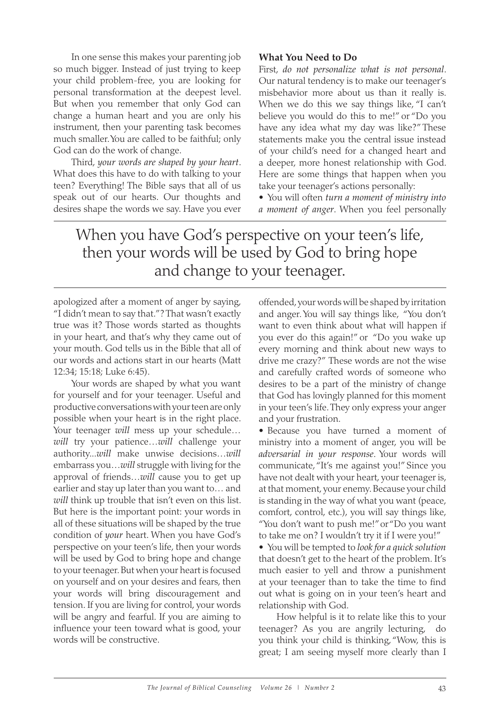In one sense this makes your parenting job so much bigger. Instead of just trying to keep your child problem-free, you are looking for personal transformation at the deepest level. But when you remember that only God can change a human heart and you are only his instrument, then your parenting task becomes much smaller. You are called to be faithful; only God can do the work of change.

Third, *your words are shaped by your heart*. What does this have to do with talking to your teen? Everything! The Bible says that all of us speak out of our hearts. Our thoughts and desires shape the words we say. Have you ever

## **What You Need to Do**

First, *do not personalize what is not personal*. Our natural tendency is to make our teenager's misbehavior more about us than it really is. When we do this we say things like, "I can't believe you would do this to me!" or "Do you have any idea what my day was like?" These statements make you the central issue instead of your child's need for a changed heart and a deeper, more honest relationship with God. Here are some things that happen when you take your teenager's actions personally:

s You will often *turn a moment of ministry into a moment of anger*. When you feel personally

When you have God's perspective on your teen's life, then your words will be used by God to bring hope and change to your teenager.

apologized after a moment of anger by saying, "I didn't mean to say that."? That wasn't exactly true was it? Those words started as thoughts in your heart, and that's why they came out of your mouth. God tells us in the Bible that all of our words and actions start in our hearts (Matt 12:34; 15:18; Luke 6:45).

Your words are shaped by what you want for yourself and for your teenager. Useful and productive conversations with your teen are only possible when your heart is in the right place. Your teenager *will* mess up your schedule… *will* try your patience…*will* challenge your authority...*will* make unwise decisions…*will* embarrass you…*will* struggle with living for the approval of friends…*will* cause you to get up earlier and stay up later than you want to… and *will* think up trouble that isn't even on this list. But here is the important point: your words in all of these situations will be shaped by the true condition of *your* heart. When you have God's perspective on your teen's life, then your words will be used by God to bring hope and change to your teenager. But when your heart is focused on yourself and on your desires and fears, then your words will bring discouragement and tension. If you are living for control, your words will be angry and fearful. If you are aiming to influence your teen toward what is good, your words will be constructive.

offended, your words will be shaped by irritation and anger. You will say things like, "You don't want to even think about what will happen if you ever do this again!" or "Do you wake up every morning and think about new ways to drive me crazy?" These words are not the wise and carefully crafted words of someone who desires to be a part of the ministry of change that God has lovingly planned for this moment in your teen's life. They only express your anger and your frustration.

s Because you have turned a moment of ministry into a moment of anger, you will be *adversarial in your response*. Your words will communicate, "It's me against you!" Since you have not dealt with your heart, your teenager is, at that moment, your enemy. Because your child is standing in the way of what you want (peace, comfort, control, etc.), you will say things like, "You don't want to push me!" or "Do you want to take me on? I wouldn't try it if I were you!"

s You will be tempted to *look for a quick solution* that doesn't get to the heart of the problem. It's much easier to yell and throw a punishment at your teenager than to take the time to find out what is going on in your teen's heart and relationship with God.

How helpful is it to relate like this to your teenager? As you are angrily lecturing, do you think your child is thinking, "Wow, this is great; I am seeing myself more clearly than I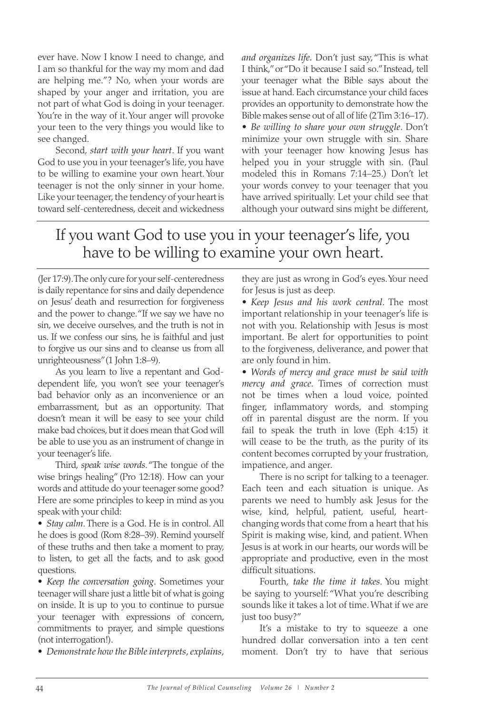ever have. Now I know I need to change, and I am so thankful for the way my mom and dad are helping me."? No, when your words are shaped by your anger and irritation, you are not part of what God is doing in your teenager. You're in the way of it. Your anger will provoke your teen to the very things you would like to see changed.

Second, *start with your heart*. If you want God to use you in your teenager's life, you have to be willing to examine your own heart. Your teenager is not the only sinner in your home. Like your teenager, the tendency of your heart is toward self-centeredness, deceit and wickedness *and organizes life.* Don't just say, "This is what I think," or "Do it because I said so." Instead, tell your teenager what the Bible says about the issue at hand. Each circumstance your child faces provides an opportunity to demonstrate how the Bible makes sense out of all of life (2 Tim 3:16–17).

*s Be willing to share your own struggle*. Don't minimize your own struggle with sin. Share with your teenager how knowing Jesus has helped you in your struggle with sin. (Paul modeled this in Romans 7:14–25.) Don't let your words convey to your teenager that you have arrived spiritually. Let your child see that although your outward sins might be different,

## If you want God to use you in your teenager's life, you have to be willing to examine your own heart.

(Jer 17:9). The only cure for your self-centeredness is daily repentance for sins and daily dependence on Jesus' death and resurrection for forgiveness and the power to change. "If we say we have no sin, we deceive ourselves, and the truth is not in us. If we confess our sins, he is faithful and just to forgive us our sins and to cleanse us from all unrighteousness" (1 John 1:8–9).

As you learn to live a repentant and Goddependent life, you won't see your teenager's bad behavior only as an inconvenience or an embarrassment, but as an opportunity. That doesn't mean it will be easy to see your child make bad choices, but it does mean that God will be able to use you as an instrument of change in your teenager's life.

Third, *speak wise words*. "The tongue of the wise brings healing" (Pro 12:18). How can your words and attitude do your teenager some good? Here are some principles to keep in mind as you speak with your child:

*s Stay calm*. There is a God. He is in control. All he does is good (Rom 8:28–39). Remind yourself of these truths and then take a moment to pray, to listen, to get all the facts, and to ask good questions.

*s Keep the conversation going*. Sometimes your teenager will share just a little bit of what is going on inside. It is up to you to continue to pursue your teenager with expressions of concern, commitments to prayer, and simple questions (not interrogation!).

*s Demonstrate how the Bible interprets, explains,* 

they are just as wrong in God's eyes. Your need for Jesus is just as deep.

*s Keep Jesus and his work central*. The most important relationship in your teenager's life is not with you. Relationship with Jesus is most important. Be alert for opportunities to point to the forgiveness, deliverance, and power that are only found in him.

*s Words of mercy and grace must be said with mercy and grace*. Times of correction must not be times when a loud voice, pointed finger, inflammatory words, and stomping off in parental disgust are the norm. If you fail to speak the truth in love (Eph 4:15) it will cease to be the truth, as the purity of its content becomes corrupted by your frustration, impatience, and anger.

There is no script for talking to a teenager. Each teen and each situation is unique. As parents we need to humbly ask Jesus for the wise, kind, helpful, patient, useful, heartchanging words that come from a heart that his Spirit is making wise, kind, and patient. When Jesus is at work in our hearts, our words will be appropriate and productive, even in the most difficult situations.

Fourth, *take the time it takes*. You might be saying to yourself: "What you're describing sounds like it takes a lot of time. What if we are just too busy?"

It's a mistake to try to squeeze a one hundred dollar conversation into a ten cent moment. Don't try to have that serious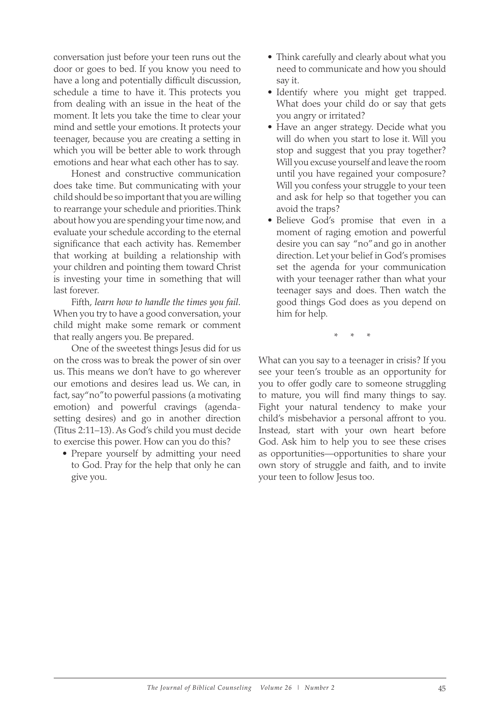conversation just before your teen runs out the door or goes to bed. If you know you need to have a long and potentially difficult discussion, schedule a time to have it. This protects you from dealing with an issue in the heat of the moment. It lets you take the time to clear your mind and settle your emotions. It protects your teenager, because you are creating a setting in which you will be better able to work through emotions and hear what each other has to say.

Honest and constructive communication does take time. But communicating with your child should be so important that you are willing to rearrange your schedule and priorities. Think about how you are spending your time now, and evaluate your schedule according to the eternal significance that each activity has. Remember that working at building a relationship with your children and pointing them toward Christ is investing your time in something that will last forever.

Fifth, *learn how to handle the times you fail.* When you try to have a good conversation, your child might make some remark or comment that really angers you. Be prepared.

One of the sweetest things Jesus did for us on the cross was to break the power of sin over us. This means we don't have to go wherever our emotions and desires lead us. We can, in fact, say" no" to powerful passions (a motivating emotion) and powerful cravings (agendasetting desires) and go in another direction (Titus 2:11–13). As God's child you must decide to exercise this power. How can you do this?

• Prepare yourself by admitting your need to God. Pray for the help that only he can give you.

- Think carefully and clearly about what you need to communicate and how you should say it.
- Identify where you might get trapped. What does your child do or say that gets you angry or irritated?
- Have an anger strategy. Decide what you will do when you start to lose it. Will you stop and suggest that you pray together? Will you excuse yourself and leave the room until you have regained your composure? Will you confess your struggle to your teen and ask for help so that together you can avoid the traps?
- s Believe God's promise that even in a moment of raging emotion and powerful desire you can say "no" and go in another direction. Let your belief in God's promises set the agenda for your communication with your teenager rather than what your teenager says and does. Then watch the good things God does as you depend on him for help.

\* \* \*

What can you say to a teenager in crisis? If you see your teen's trouble as an opportunity for you to offer godly care to someone struggling to mature, you will find many things to say. Fight your natural tendency to make your child's misbehavior a personal affront to you. Instead, start with your own heart before God. Ask him to help you to see these crises as opportunities—opportunities to share your own story of struggle and faith, and to invite your teen to follow Jesus too.